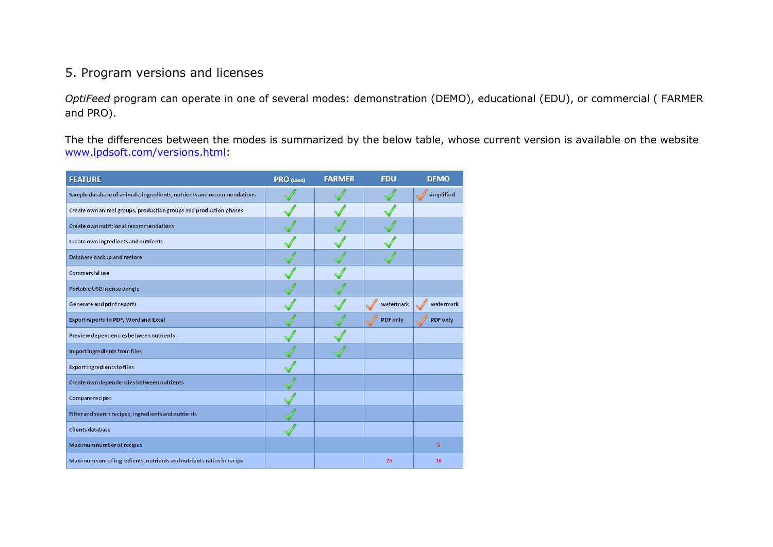## 5. Program versions and licenses

*OptiFeed* program can operate in one of several modes: demonstration (DEMO), educational (EDU), or commercial ( FARMER and PRO).

The the differences between the modes is summarized by the below table, whose current version is available on the website [www.lpdsoft.com/versions.html:](http://www.optipasz.pl/wersje.html)

| <b>FEATURE</b>                                                         | PRO (soon) | <b>FARMER</b> | <b>EDU</b> | <b>DEMO</b> |
|------------------------------------------------------------------------|------------|---------------|------------|-------------|
| Sample database of animals, ingredients, nutrients and recommendations |            |               |            | simplified  |
| Create own animal groups, production groups and production phases      |            |               |            |             |
| Create own nutritional recommendations                                 |            |               |            |             |
| Create own ingredients and nutrients                                   |            |               |            |             |
| Database backup and restore                                            |            |               |            |             |
| Commercial use                                                         |            |               |            |             |
| Portable USB license dongle                                            |            |               |            |             |
| Generate and print reports                                             |            |               | watermark  | watermark   |
| Export reports to PDF, Word and Excel                                  |            |               | PDF only   | PDF only    |
| Preview dependencies between nutrients                                 |            |               |            |             |
| Import ingredients from files                                          |            |               |            |             |
| <b>Export ingredients to files</b>                                     |            |               |            |             |
| Create own dependencies between nutrients                              |            |               |            |             |
| Compare recipes                                                        |            |               |            |             |
| Filter and search recipes, ingredients and nutrients                   |            |               |            |             |
| Clients database                                                       |            |               |            |             |
| Maximum number of recipes                                              |            |               |            | 5           |
| Maximum sum of ingredients, nutrients and nutrients ratios in recipe   |            |               | 25         | 10          |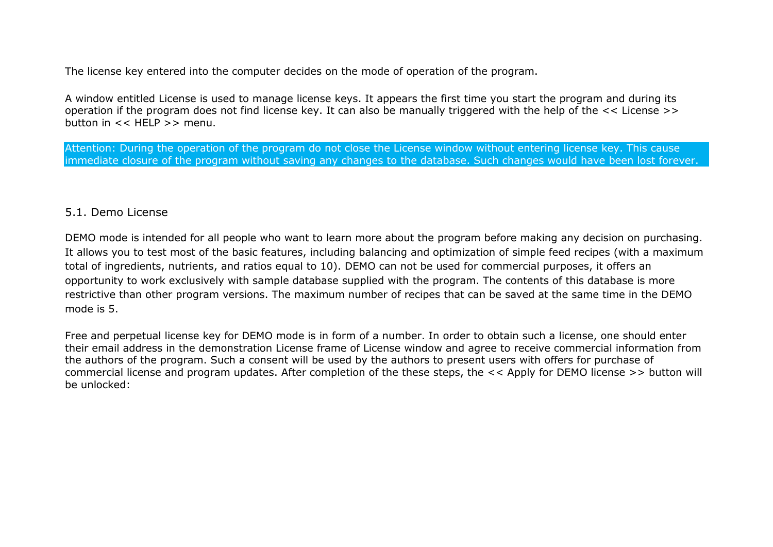The license key entered into the computer decides on the mode of operation of the program.

A window entitled License is used to manage license keys. It appears the first time you start the program and during its operation if the program does not find license key. It can also be manually triggered with the help of the << License >> button in  $<<$  HFI P  $>>$  menu.

Attention: During the operation of the program do not close the License window without entering license key. This cause immediate closure of the program without saving any changes to the database. Such changes would have been lost forever.

## 5.1. Demo License

DEMO mode is intended for all people who want to learn more about the program before making any decision on purchasing. It allows you to test most of the basic features, including balancing and optimization of simple feed recipes (with a maximum total of ingredients, nutrients, and ratios equal to 10). DEMO can not be used for commercial purposes, it offers an opportunity to work exclusively with sample database supplied with the program. The contents of this database is more restrictive than other program versions. The maximum number of recipes that can be saved at the same time in the DEMO mode is 5.

Free and perpetual license key for DEMO mode is in form of a number. In order to obtain such a license, one should enter their email address in the demonstration License frame of License window and agree to receive commercial information from the authors of the program. Such a consent will be used by the authors to present users with offers for purchase of commercial license and program updates. After completion of the these steps, the << Apply for DEMO license >> button will be unlocked: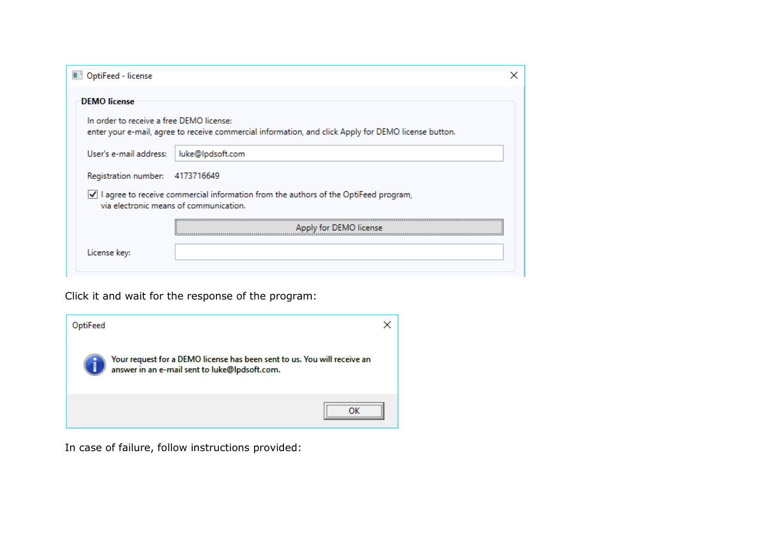| OptiFeed - license                       |                                                                                                                                 |  |
|------------------------------------------|---------------------------------------------------------------------------------------------------------------------------------|--|
| <b>DEMO</b> license                      |                                                                                                                                 |  |
| In order to receive a free DEMO license: | enter your e-mail, agree to receive commercial information, and click Apply for DEMO license button.                            |  |
| User's e-mail address:                   | luke@lpdsoft.com                                                                                                                |  |
| Registration number: 4173716649          |                                                                                                                                 |  |
|                                          | √ I agree to receive commercial information from the authors of the OptiFeed program,<br>via electronic means of communication. |  |
|                                          | Apply for DEMO license                                                                                                          |  |
| License key:                             |                                                                                                                                 |  |

Click it and wait for the response of the program:



In case of failure, follow instructions provided: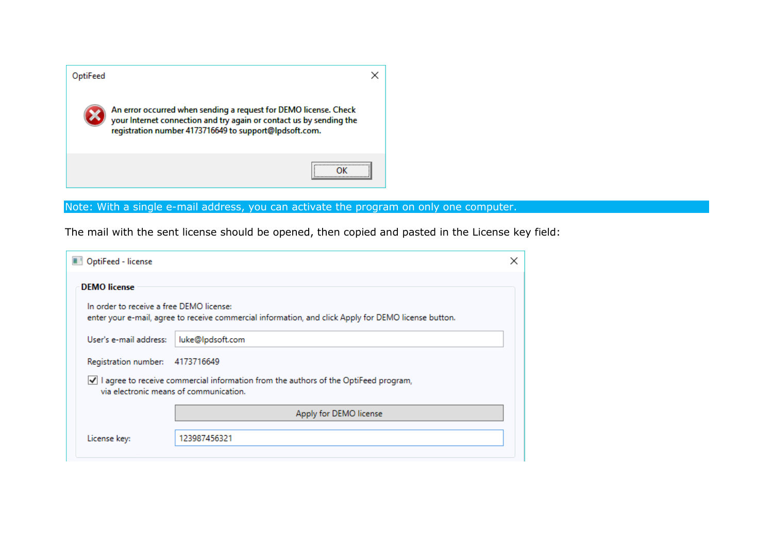

## Note: With a single e-mail address, you can activate the program on only one computer.

The mail with the sent license should be opened, then copied and pasted in the License key field:

| OptiFeed - license                       |                                                                                                      |  |
|------------------------------------------|------------------------------------------------------------------------------------------------------|--|
| <b>DEMO</b> license                      |                                                                                                      |  |
| In order to receive a free DEMO license: | enter your e-mail, agree to receive commercial information, and click Apply for DEMO license button. |  |
| User's e-mail address:                   | luke@lpdsoft.com                                                                                     |  |
| Registration number: 4173716649          |                                                                                                      |  |
| via electronic means of communication.   | √ I agree to receive commercial information from the authors of the OptiFeed program,                |  |
|                                          | Apply for DEMO license                                                                               |  |
| License key:                             | 123987456321                                                                                         |  |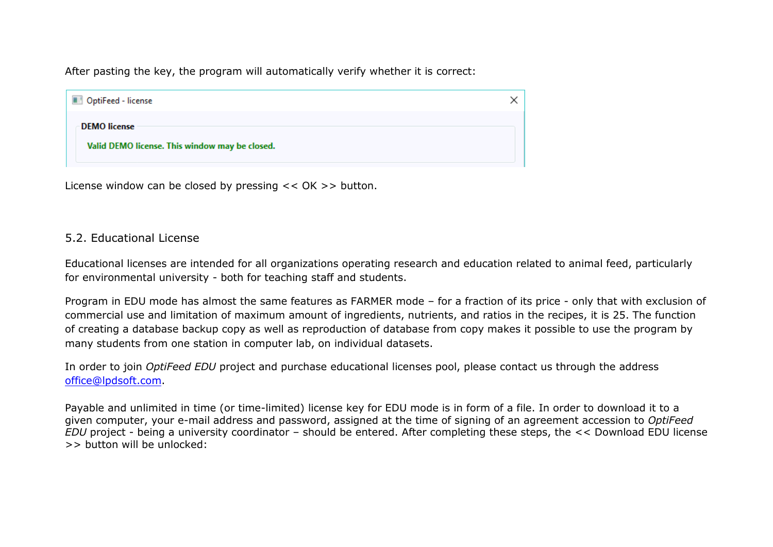After pasting the key, the program will automatically verify whether it is correct:

| OptiFeed - license                                                    |  |
|-----------------------------------------------------------------------|--|
| <b>DEMO</b> license<br>Valid DEMO license. This window may be closed. |  |

License window can be closed by pressing << OK >> button.

## 5.2. Educational License

Educational licenses are intended for all organizations operating research and education related to animal feed, particularly for environmental university - both for teaching staff and students.

Program in EDU mode has almost the same features as FARMER mode – for a fraction of its price - only that with exclusion of commercial use and limitation of maximum amount of ingredients, nutrients, and ratios in the recipes, it is 25. The function of creating a database backup copy as well as reproduction of database from copy makes it possible to use the program by many students from one station in computer lab, on individual datasets.

In order to join *OptiFeed EDU* project and purchase educational licenses pool, please contact us through the address office@lpdsoft.com.

Payable and unlimited in time (or time-limited) license key for EDU mode is in form of a file. In order to download it to a given computer, your e-mail address and password, assigned at the time of signing of an agreement accession to *OptiFeed EDU* project - being a university coordinator – should be entered. After completing these steps, the << Download EDU license >> button will be unlocked: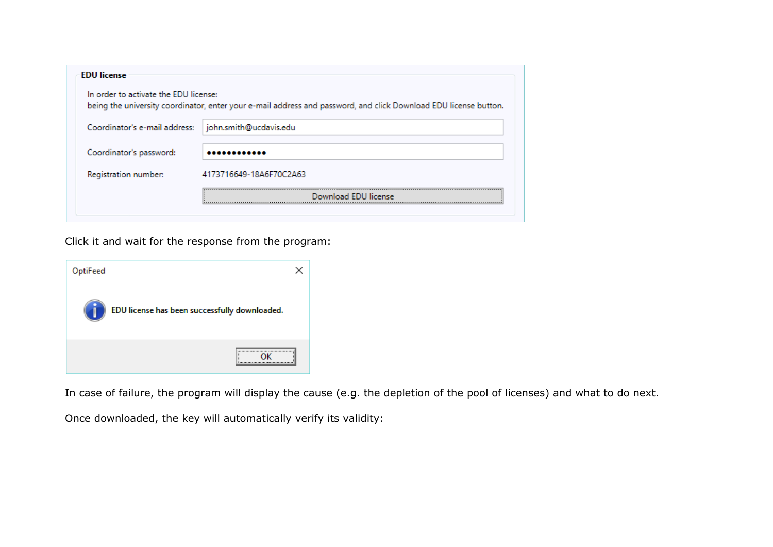| In order to activate the EDU license:<br>being the university coordinator, enter your e-mail address and password, and click Download EDU license button. |  |  |
|-----------------------------------------------------------------------------------------------------------------------------------------------------------|--|--|
| john.smith@ucdavis.edu                                                                                                                                    |  |  |
|                                                                                                                                                           |  |  |
| 4173716649-18A6F70C2A63                                                                                                                                   |  |  |
| Download FDU license                                                                                                                                      |  |  |
|                                                                                                                                                           |  |  |

Click it and wait for the response from the program:

| OptiFeed |                                               |
|----------|-----------------------------------------------|
|          | EDU license has been successfully downloaded. |
|          |                                               |

In case of failure, the program will display the cause (e.g. the depletion of the pool of licenses) and what to do next.

Once downloaded, the key will automatically verify its validity: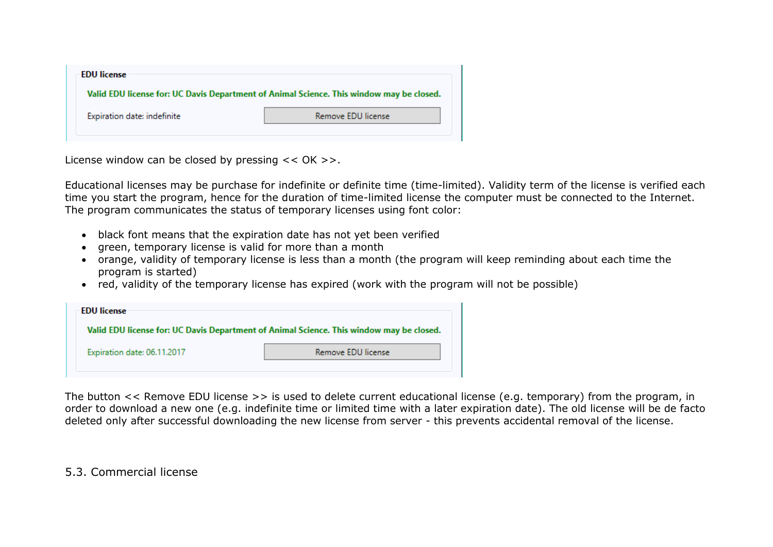| <b>EDU</b> license          |                                                                                          |
|-----------------------------|------------------------------------------------------------------------------------------|
|                             | Valid EDU license for: UC Davis Department of Animal Science. This window may be closed. |
| Expiration date: indefinite | Remove EDU license                                                                       |
|                             |                                                                                          |

License window can be closed by pressing << OK >>.

Educational licenses may be purchase for indefinite or definite time (time-limited). Validity term of the license is verified each time you start the program, hence for the duration of time-limited license the computer must be connected to the Internet. The program communicates the status of temporary licenses using font color:

- black font means that the expiration date has not yet been verified
- green, temporary license is valid for more than a month
- orange, validity of temporary license is less than a month (the program will keep reminding about each time the program is started)
- red, validity of the temporary license has expired (work with the program will not be possible)

| <b>EDU</b> license          |                                                                                          |
|-----------------------------|------------------------------------------------------------------------------------------|
|                             | Valid EDU license for: UC Davis Department of Animal Science. This window may be closed. |
| Expiration date: 06.11.2017 | Remove EDU license                                                                       |

The button << Remove EDU license >> is used to delete current educational license (e.g. temporary) from the program, in order to download a new one (e.g. indefinite time or limited time with a later expiration date). The old license will be de facto deleted only after successful downloading the new license from server - this prevents accidental removal of the license.

5.3. Commercial license